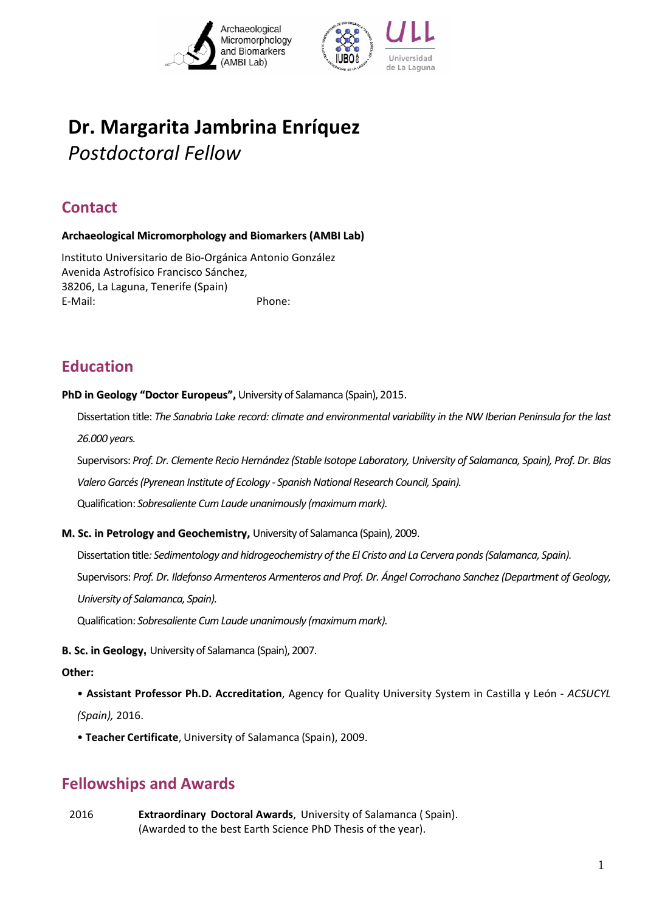



# **Dr. Margarita Jambrina Enríquez** *Postdoctoral Fellow*

## **Contact**

#### **Archaeological Micromorphology and Biomarkers (AMBI Lab)**

Instituto Universitario de Bio‐Orgánica Antonio González Avenida Astrofísico Francisco Sánchez, 38206, La Laguna, Tenerife (Spain) E-Mail: Phone:

### **Education**

**PhD in Geology "Doctor Europeus",** University of Salamanca (Spain), 2015.

Dissertation title: The Sanabria Lake record: climate and environmental variability in the NW Iberian Peninsula for the last *26.000 years.* 

Supervisors: *Prof. Dr. Clemente Recio Hernández(Stable Isotope Laboratory, University of Salamanca, Spain), Prof. Dr. Blas ValeroGarcés(Pyrenean Institute of Ecology ‐ SpanishNational Research Council, Spain).* Qualification: *Sobresaliente CumLaude unanimously (maximummark).*

**M. Sc. in Petrology and Geochemistry,** University of Salamanca (Spain), 2009.

Dissertation title*: Sedimentology and hidrogeochemistry ofthe El Cristo and La Cervera ponds(Salamanca, Spain).*  Supervisors: *Prof. Dr. Ildefonso Armenteros Armenteros and Prof. Dr. Ángel Corrochano Sanchez(Department of Geology, University of Salamanca, Spain).*

Qualification: *Sobresaliente CumLaude unanimously (maximummark).*

**B. Sc. in Geology,** University of Salamanca (Spain), 2007.

#### **Other:**

- **Assistant Professor Ph.D. Accreditation**, Agency for Quality University System in Castilla y León ‐ *ACSUCYL (Spain),* 2016.
- **Teacher Certificate**, University of Salamanca (Spain), 2009.

### **Fellowships and Awards**

2016 **Extraordinary Doctoral Awards**, University of Salamanca ( Spain). (Awarded to the best Earth Science PhD Thesis of the year).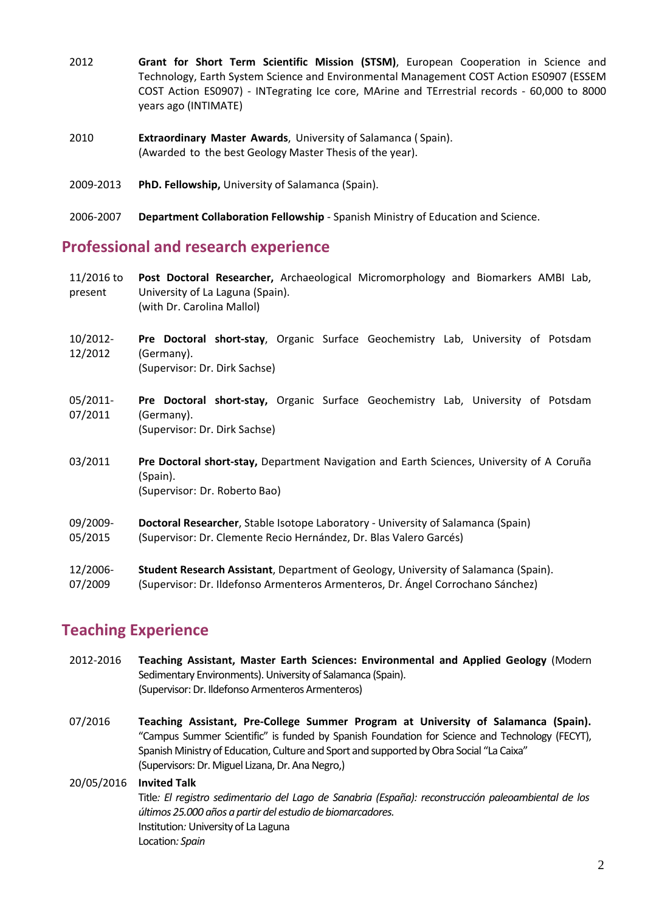- 2012 **Grant for Short Term Scientific Mission (STSM)**, European Cooperation in Science and Technology, Earth System Science and Environmental Management COST Action ES0907 (ESSEM COST Action ES0907) ‐ INTegrating Ice core, MArine and TErrestrial records ‐ 60,000 to 8000 years ago (INTIMATE)
- 2010 **Extraordinary Master Awards**, University of Salamanca ( Spain). (Awarded to the best Geology Master Thesis of the year).
- 2009‐2013 **PhD. Fellowship,** University of Salamanca (Spain).
- 2006‐2007 **Department Collaboration Fellowship** ‐ Spanish Ministry of Education and Science.

### **Professional and research experience**

- 11/2016 to present **Post Doctoral Researcher,** Archaeological Micromorphology and Biomarkers AMBI Lab, University of La Laguna (Spain). (with Dr. Carolina Mallol)
- 10/2012‐ 12/2012 **Pre Doctoral short‐stay**, Organic Surface Geochemistry Lab, University of Potsdam (Germany). (Supervisor: Dr. Dirk Sachse)
- 05/2011‐ 07/2011 **Pre Doctoral short‐stay,** Organic Surface Geochemistry Lab, University of Potsdam (Germany). (Supervisor: Dr. Dirk Sachse)
- 03/2011 **Pre Doctoral short‐stay,** Department Navigation and Earth Sciences, University of A Coruña (Spain). (Supervisor: Dr. Roberto Bao)
- 09/2009‐ 05/2015 **Doctoral Researcher**, Stable Isotope Laboratory ‐ University of Salamanca (Spain) (Supervisor: Dr. Clemente Recio Hernández, Dr. Blas Valero Garcés)
- 
- 12/2006‐ 07/2009 **Student Research Assistant**, Department of Geology, University of Salamanca (Spain). (Supervisor: Dr. Ildefonso Armenteros Armenteros, Dr. Ángel Corrochano Sánchez)

### **Teaching Experience**

- 2012‐2016 **Teaching Assistant, Master Earth Sciences: Environmental and Applied Geology** (Modern Sedimentary Environments). University of Salamanca (Spain). (Supervisor:Dr. Ildefonso Armenteros Armenteros)
- 07/2016 **Teaching Assistant, Pre‐College Summer Program at University of Salamanca (Spain).** "Campus Summer Scientific" is funded by Spanish Foundation for Science and [Technology](http://www.uab.cat/web/research/research-article-impact/spanish-foundation-for-science-and-technology-fecyt-1322553783193.html) (FECYT), Spanish Ministry of Education, Culture and Sport and supported by Obra Social "La Caixa" (Supervisors: Dr. Miguel Lizana, Dr. Ana Negro,)

### 20/05/2016 **Invited Talk** Title*: El registro sedimentario del Lago de Sanabria (España): reconstrucción paleoambiental de los últimos 25.000 años a partir del estudio de biomarcadores.* Institution*:* University of La Laguna Location*: Spain*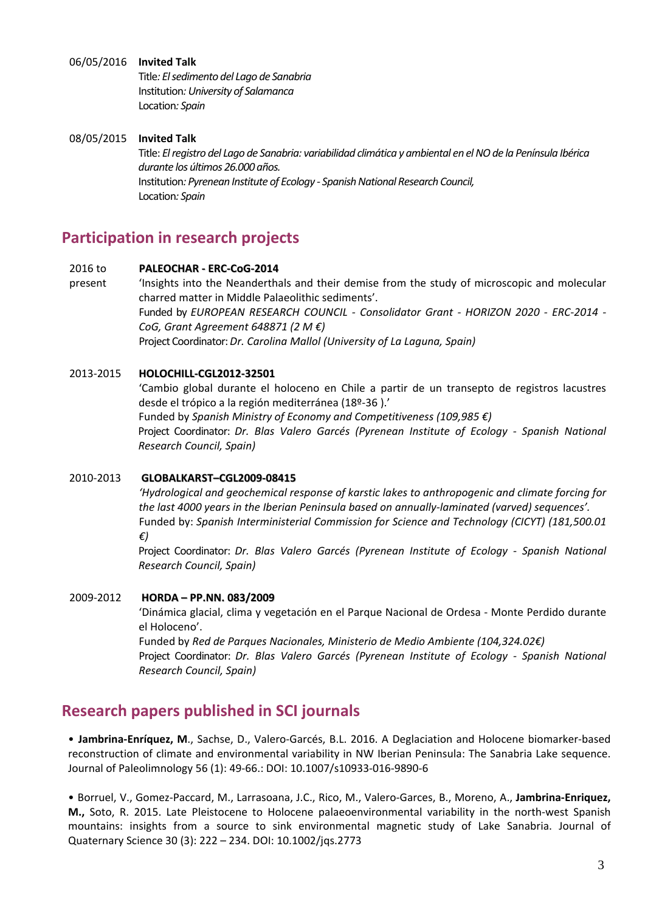#### 06/05/2016 **Invited Talk**

Title*: Elsedimento del Lago de Sanabria* Institution*:University of Salamanca* Location*: Spain*

#### 08/05/2015 **Invited Talk**

Title: *Elregistro del Lago de Sanabria: variabilidad climática y ambiental en elNOde la Península Ibérica durante los últimos 26.000 años.* **Institution: Pyrenean Institute of Ecology - Spanish National Research Council,** Location*: Spain*

### **Participation in research projects**

#### 2016 to **PALEOCHAR ‐ ERC‐CoG‐[2014](https://sites.google.com/site/erccog2014paleochar/)**

present 'Insights into the Neanderthals and their demise from the study of microscopic and molecular charred matter in Middle Palaeolithic sediments'. Funded by *EUROPEAN RESEARCH COUNCIL ‐ Consolidator Grant ‐ HORIZON 2020 ‐ ERC‐2014 ‐ CoG, Grant Agreement 648871 (2 M €)* Project Coordinator:*Dr. Carolina Mallol (University of La Laguna, Spain)*

#### 2013‐2015 **HOLOCHILL‐CGL2012‐32501**

'Cambio global durante el holoceno en Chile a partir de un transepto de registros lacustres desde el trópico a la región mediterránea (18º‐36 ).' Funded by *Spanish Ministry of Economy and Competitiveness (109,985 €)* Project Coordinator: *Dr. Blas Valero Garcés (Pyrenean Institute of Ecology ‐ Spanish National Research Council, Spain)*

#### 2010‐2013 **GLOBALKARST–CGL2009‐08415**

*'Hydrological and geochemical response of karstic lakes to anthropogenic and climate forcing for the last 4000 years in the Iberian Peninsula based on annually‐laminated (varved) sequences'.*  Funded by: *Spanish Interministerial Commission for Science and Technology (CICYT) (181,500.01 €)*

Project Coordinator: *Dr. Blas Valero Garcés (Pyrenean Institute of Ecology ‐ Spanish National Research Council, Spain)*

#### 2009‐2012 **HORDA – PP.NN. 083/2009**

'Dinámica glacial, clima y vegetación en el Parque Nacional de Ordesa ‐ Monte Perdido durante el Holoceno'.

Funded by *Red de Parques Nacionales, Ministerio de Medio Ambiente (104,324.02€)* Project Coordinator: *Dr. Blas Valero Garcés (Pyrenean Institute of Ecology ‐ Spanish National Research Council, Spain)*

### **Research papers published in SCI journals**

• **Jambrina‐Enríquez, M**., Sachse, D., Valero‐Garcés, B.L. 2016. A Deglaciation and Holocene biomarker‐based reconstruction of climate and environmental variability in NW Iberian Peninsula: The Sanabria Lake sequence. Journal of Paleolimnology 56 (1): 49‐66.: DOI: 10.1007/s10933‐016‐9890‐6

• Borruel, V., Gomez‐Paccard, M., Larrasoana, J.C., Rico, M., Valero‐Garces, B., Moreno, A., **Jambrina‐Enriquez, M.,** Soto, R. 2015. Late Pleistocene to Holocene palaeoenvironmental variability in the north‐west Spanish mountains: insights from a source to sink environmental magnetic study of Lake Sanabria. Journal of Quaternary Science 30 (3): 222 – 234. DOI: 10.1002/jqs.2773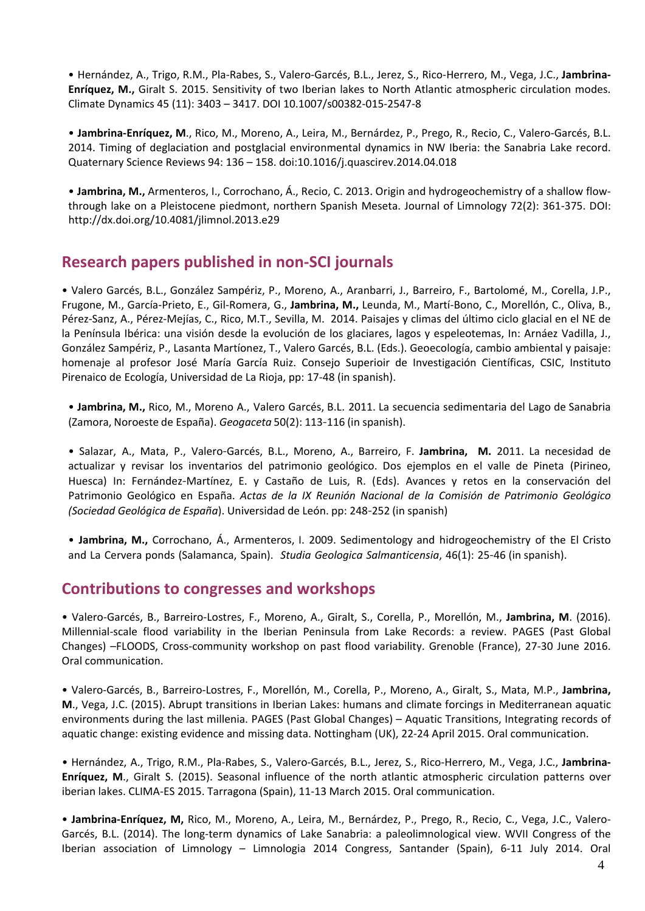• Hernández, A., Trigo, R.M., Pla‐Rabes, S., Valero‐Garcés, B.L., Jerez, S., Rico‐Herrero, M., Vega, J.C., **Jambrina‐ Enríquez, M.,** Giralt S. 2015. Sensitivity of two Iberian lakes to North Atlantic atmospheric circulation modes. Climate Dynamics 45 (11): 3403 – 3417. DOI 10.1007/s00382‐015‐2547‐8

• **Jambrina‐Enríquez, M**., Rico, M., Moreno, A., Leira, M., Bernárdez, P., Prego, R., Recio, C., Valero‐Garcés, B.L. 2014. Timing of deglaciation and postglacial environmental dynamics in NW Iberia: the Sanabria Lake record. Quaternary Science Reviews 94: 136 – 158. [doi:10.1016/j.quascirev.2014.04.018](http://dx.doi.org/10.1016/j.quascirev.2014.04.018)

• **Jambrina, M.,** Armenteros, I., Corrochano, Á., Recio, C. 2013. Origin and hydrogeochemistry of a shallow flow‐ through lake on a Pleistocene piedmont, northern Spanish Meseta. Journal of Limnology 72(2): 361‐375. DOI: <http://dx.doi.org/10.4081/jlimnol.2013.e29>

### **Research papers published in non‐SCI journals**

• Valero Garcés, B.L., González Sampériz, P., Moreno, A., Aranbarri, J., Barreiro, F., Bartolomé, M., Corella, J.P., Frugone, M., García‐Prieto, E., Gil‐Romera, G., **Jambrina, M.,** Leunda, M., Martí‐Bono, C., Morellón, C., Oliva, B., Pérez‐Sanz, A., Pérez‐Mejías, C., Rico, M.T., Sevilla, M. 2014. Paisajes y climas del último ciclo glacial en el NE de la Península Ibérica: una visión desde la evolución de los glaciares, lagos y espeleotemas, In: Arnáez Vadilla, J., González Sampériz, P., Lasanta Martíonez, T., Valero Garcés, B.L. (Eds.). Geoecología, cambio ambiental y paisaje: homenaje al profesor José María García Ruiz. Consejo Superioir de Investigación Científicas, CSIC, Instituto Pirenaico de Ecología, Universidad de La Rioja, pp: 17‐48 (in spanish).

• **Jambrina, M.,** Rico, M., Moreno A., Valero Garcés, B.L. 2011. La secuencia sedimentaria del Lago de Sanabria (Zamora, Noroeste de España). *Geogaceta* 50(2): 113-116 (in spanish).

• Salazar, A., Mata, P., Valero-Garcés, B.L., Moreno, A., Barreiro, F. **Jambrina, M.** 2011. La necesidad de actualizar y revisar los inventarios del patrimonio geológico. Dos ejemplos en el valle de Pineta (Pirineo, Huesca) In: Fernández-Martínez, E. y Castaño de Luis, R. (Eds). Avances y retos en la conservación del Patrimonio Geológico en España. *Actas de la IX Reunión Nacional de la Comisión de Patrimonio Geológico (Sociedad Geológica de España*). Universidad de León. pp: 248-252 (in spanish)

• **Jambrina, M.,** Corrochano, Á., Armenteros, I. 2009. Sedimentology and hidrogeochemistry of the El Cristo and La Cervera ponds (Salamanca, Spain). *Studia Geologica Salmanticensia*, 46(1): 25-46 (in spanish).

### **Contributions to congresses and workshops**

• Valero‐Garcés, B., Barreiro‐Lostres, F., Moreno, A., Giralt, S., Corella, P., Morellón, M., **Jambrina, M**. (2016). Millennial‐scale flood variability in the Iberian Peninsula from Lake Records: a review. PAGES (Past Global Changes) –FLOODS, Cross‐community workshop on past flood variability. Grenoble (France), 27‐30 June 2016. Oral communication.

• Valero‐Garcés, B., Barreiro‐Lostres, F., Morellón, M., Corella, P., Moreno, A., Giralt, S., Mata, M.P., **Jambrina, M**., Vega, J.C. (2015). Abrupt transitions in Iberian Lakes: humans and climate forcings in Mediterranean aquatic environments during the last millenia. PAGES (Past Global Changes) – Aquatic Transitions, Integrating records of aquatic change: existing evidence and missing data. Nottingham (UK), 22‐24 April 2015. Oral communication.

• Hernández, A., Trigo, R.M., Pla‐Rabes, S., Valero‐Garcés, B.L., Jerez, S., Rico‐Herrero, M., Vega, J.C., **Jambrina‐ Enríquez, M**., Giralt S. (2015). Seasonal influence of the north atlantic atmospheric circulation patterns over iberian lakes. CLIMA‐ES 2015. Tarragona (Spain), 11‐13 March 2015. Oral communication.

• **Jambrina‐Enríquez, M,** Rico, M., Moreno, A., Leira, M., Bernárdez, P., Prego, R., Recio, C., Vega, J.C., Valero‐ Garcés, B.L. (2014). The long‐term dynamics of Lake Sanabria: a paleolimnological view. WVII Congress of the Iberian association of Limnology – Limnologia 2014 Congress, Santander (Spain), 6‐11 July 2014. Oral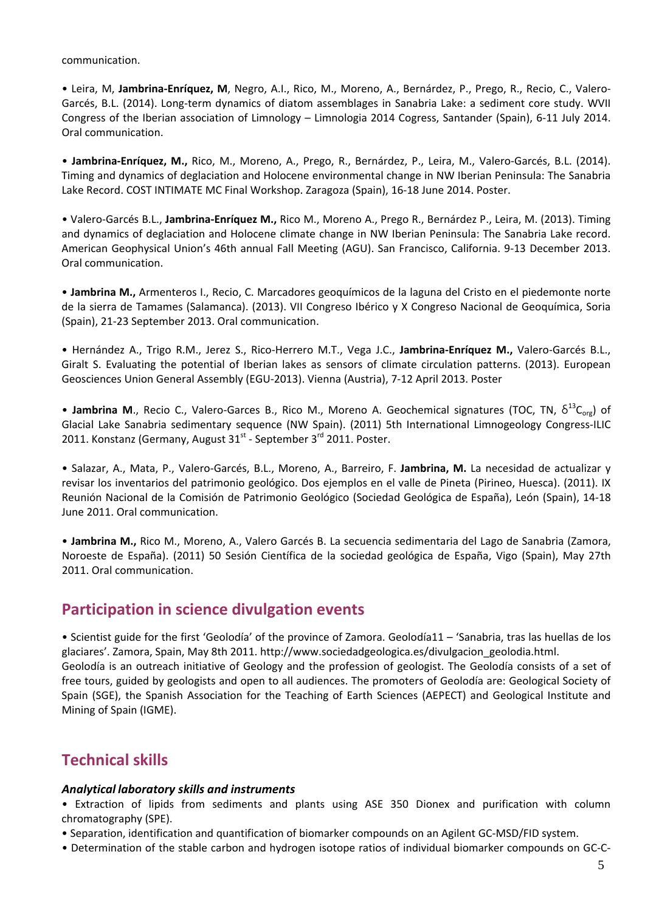communication.

• Leira, M, **Jambrina‐Enríquez, M**, Negro, A.I., Rico, M., Moreno, A., Bernárdez, P., Prego, R., Recio, C., Valero‐ Garcés, B.L. (2014). Long‐term dynamics of diatom assemblages in Sanabria Lake: a sediment core study. WVII Congress of the Iberian association of Limnology – Limnologia 2014 Cogress, Santander (Spain), 6‐11 July 2014. Oral communication.

• **Jambrina‐Enríquez, M.,** Rico, M., Moreno, A., Prego, R., Bernárdez, P., Leira, M., Valero‐Garcés, B.L. (2014). Timing and dynamics of deglaciation and Holocene environmental change in NW Iberian Peninsula: The Sanabria Lake Record. COST INTIMATE MC Final Workshop. Zaragoza (Spain), 16‐18 June 2014. Poster.

• Valero‐Garcés B.L., **Jambrina‐Enríquez M.,** Rico M., Moreno A., Prego R., Bernárdez P., Leira, M. (2013). Timing and dynamics of deglaciation and Holocene climate change in NW Iberian Peninsula: The Sanabria Lake record. American Geophysical Union's 46th annual Fall Meeting (AGU). San Francisco, California. 9‐13 December 2013. Oral communication.

• **Jambrina M.,** Armenteros I., Recio, C. Marcadores geoquímicos de la laguna del Cristo en el piedemonte norte de la sierra de Tamames (Salamanca). (2013). VII Congreso Ibérico y X Congreso Nacional de Geoquímica, Soria (Spain), 21‐23 September 2013. Oral communication.

• Hernández A., Trigo R.M., Jerez S., Rico‐Herrero M.T., Vega J.C., **Jambrina‐Enríquez M.,** Valero‐Garcés B.L., Giralt S. Evaluating the potential of Iberian lakes as sensors of climate circulation patterns. (2013). European Geosciences Union General Assembly (EGU‐2013). Vienna (Austria), 7‐12 April 2013. Poster

• **Jambrina M**., Recio C., Valero-Garces B., Rico M., Moreno A. Geochemical signatures (TOC, TN,  $\delta^{13}C_{\text{orb}}$ ) of Glacial Lake Sanabria sedimentary sequence (NW Spain). (2011) 5th International Limnogeology Congress‐ILIC 2011. Konstanz (Germany, August  $31^{st}$  - September  $3^{rd}$  2011. Poster.

• Salazar, A., Mata, P., Valero‐Garcés, B.L., Moreno, A., Barreiro, F. **Jambrina, M.** La necesidad de actualizar y revisar los inventarios del patrimonio geológico. Dos ejemplos en el valle de Pineta (Pirineo, Huesca). (2011). IX Reunión Nacional de la Comisión de Patrimonio Geológico (Sociedad Geológica de España), León (Spain), 14‐18 June 2011. Oral communication.

• **Jambrina M.,** Rico M., Moreno, A., Valero Garcés B. La secuencia sedimentaria del Lago de Sanabria (Zamora, Noroeste de España). (2011) 50 Sesión Científica de la sociedad geológica de España, Vigo (Spain), May 27th 2011. Oral communication.

### **Participation in science divulgation events**

• Scientist guide for the first 'Geolodía' of the province of Zamora. Geolodía11 – 'Sanabria, tras las huellas de los glaciares'. Zamora, Spain, May 8th 2011. http://www.sociedadgeologica.es/divulgacion\_geolodia.html. Geolodía is an outreach initiative of Geology and the profession of geologist. The Geolodía consists of a set of free tours, guided by geologists and open to all audiences. The promoters of Geolodía are: Geological Society of Spain (SGE), the Spanish Association for the Teaching of Earth Sciences (AEPECT) and Geological Institute and Mining of Spain (IGME).

### **Technical skills**

#### *Analytical laboratory skills and instruments*

• Extraction of lipids from sediments and plants using ASE 350 Dionex and purification with column chromatography (SPE).

• Separation, identification and quantification of biomarker compounds on an Agilent GC‐MSD/FID system.

• Determination of the stable carbon and hydrogen isotope ratios of individual biomarker compounds on GC‐C‐